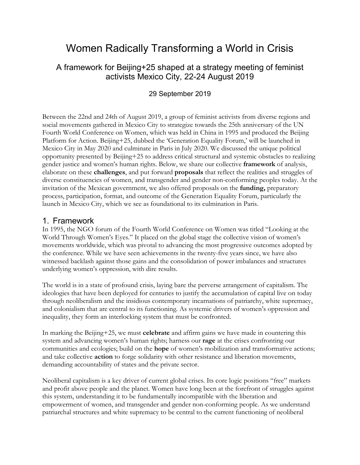# Women Radically Transforming a World in Crisis

## A framework for Beijing+25 shaped at a strategy meeting of feminist activists Mexico City, 22-24 August 2019

### 29 September 2019

Between the 22nd and 24th of August 2019, a group of feminist activists from diverse regions and social movements gathered in Mexico City to strategize towards the 25th anniversary of the UN Fourth World Conference on Women, which was held in China in 1995 and produced the Beijing Platform for Action. Beijing+25, dubbed the 'Generation Equality Forum,' will be launched in Mexico City in May 2020 and culminate in Paris in July 2020. We discussed the unique political opportunity presented by Beijing+25 to address critical structural and systemic obstacles to realizing gender justice and women's human rights. Below, we share our collective **framework** of analysis, elaborate on these **challenges**, and put forward **proposals** that reflect the realities and struggles of diverse constituencies of women, and transgender and gender non-conforming peoples today. At the invitation of the Mexican government, we also offered proposals on the **funding,** preparatory process, participation, format, and outcome of the Generation Equality Forum, particularly the launch in Mexico City, which we see as foundational to its culmination in Paris.

### 1. Framework

In 1995, the NGO forum of the Fourth World Conference on Women was titled "Looking at the World Through Women's Eyes." It placed on the global stage the collective vision of women's movements worldwide, which was pivotal to advancing the most progressive outcomes adopted by the conference. While we have seen achievements in the twenty-five years since, we have also witnessed backlash against those gains and the consolidation of power imbalances and structures underlying women's oppression, with dire results.

The world is in a state of profound crisis, laying bare the perverse arrangement of capitalism. The ideologies that have been deployed for centuries to justify the accumulation of capital live on today through neoliberalism and the insidious contemporary incarnations of patriarchy, white supremacy, and colonialism that are central to its functioning. As systemic drivers of women's oppression and inequality, they form an interlocking system that must be confronted.

In marking the Beijing+25, we must **celebrate** and affirm gains we have made in countering this system and advancing women's human rights; harness our **rage** at the crises confronting our communities and ecologies; build on the **hope** of women's mobilization and transformative actions; and take collective **action** to forge solidarity with other resistance and liberation movements, demanding accountability of states and the private sector.

Neoliberal capitalism is a key driver of current global crises. Its core logic positions "free" markets and profit above people and the planet. Women have long been at the forefront of struggles against this system, understanding it to be fundamentally incompatible with the liberation and empowerment of women, and transgender and gender non-conforming people. As we understand patriarchal structures and white supremacy to be central to the current functioning of neoliberal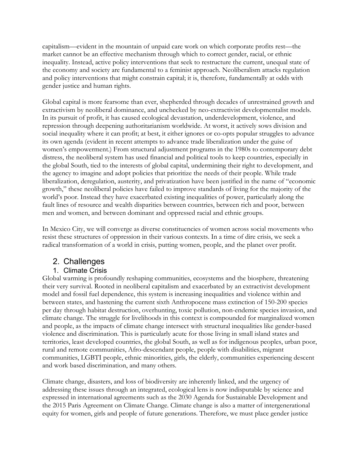capitalism—evident in the mountain of unpaid care work on which corporate profits rest—the market cannot be an effective mechanism through which to correct gender, racial, or ethnic inequality. Instead, active policy interventions that seek to restructure the current, unequal state of the economy and society are fundamental to a feminist approach. Neoliberalism attacks regulation and policy interventions that might constrain capital; it is, therefore, fundamentally at odds with gender justice and human rights.

Global capital is more fearsome than ever, shepherded through decades of unrestrained growth and extractivism by neoliberal dominance, and unchecked by neo-extractivist developmentalist models. In its pursuit of profit, it has caused ecological devastation, underdevelopment, violence, and repression through deepening authoritarianism worldwide. At worst, it actively sows division and social inequality where it can profit; at best, it either ignores or co-opts popular struggles to advance its own agenda (evident in recent attempts to advance trade liberalization under the guise of women's empowerment.) From structural adjustment programs in the 1980s to contemporary debt distress, the neoliberal system has used financial and political tools to keep countries, especially in the global South, tied to the interests of global capital, undermining their right to development, and the agency to imagine and adopt policies that prioritize the needs of their people. While trade liberalization, deregulation, austerity, and privatization have been justified in the name of "economic growth," these neoliberal policies have failed to improve standards of living for the majority of the world's poor. Instead they have exacerbated existing inequalities of power, particularly along the fault lines of resource and wealth disparities between countries, between rich and poor, between men and women, and between dominant and oppressed racial and ethnic groups.

In Mexico City, we will converge as diverse constituencies of women across social movements who resist these structures of oppression in their various contexts. In a time of dire crisis, we seek a radical transformation of a world in crisis, putting women, people, and the planet over profit.

# 2. Challenges

### 1. Climate Crisis

Global warming is profoundly reshaping communities, ecosystems and the biosphere, threatening their very survival. Rooted in neoliberal capitalism and exacerbated by an extractivist development model and fossil fuel dependence, this system is increasing inequalities and violence within and between states, and hastening the current sixth Anthropocene mass extinction of 150-200 species per day through habitat destruction, overhunting, toxic pollution, non-endemic species invasion, and climate change. The struggle for livelihoods in this context is compounded for marginalized women and people, as the impacts of climate change intersect with structural inequalities like gender-based violence and discrimination. This is particularly acute for those living in small island states and territories, least developed countries, the global South, as well as for indigenous peoples, urban poor, rural and remote communities, Afro-descendant people, people with disabilities, migrant communities, LGBTI people, ethnic minorities, girls, the elderly, communities experiencing descent and work based discrimination, and many others.

Climate change, disasters, and loss of biodiversity are inherently linked, and the urgency of addressing these issues through an integrated, ecological lens is now indisputable by science and expressed in international agreements such as the 2030 Agenda for Sustainable Development and the 2015 Paris Agreement on Climate Change. Climate change is also a matter of intergenerational equity for women, girls and people of future generations. Therefore, we must place gender justice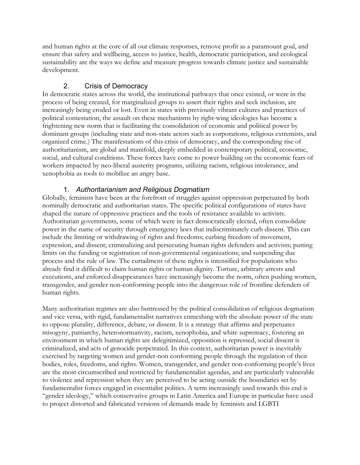and human rights at the core of all our climate responses, remove profit as a paramount goal, and ensure that safety and wellbeing, access to justice, health, democratic participation, and ecological sustainability are the ways we define and measure progress towards climate justice and sustainable development.

### 2. Crisis of Democracy

In democratic states across the world, the institutional pathways that once existed, or were in the process of being created, for marginalized groups to assert their rights and seek inclusion, are increasingly being eroded or lost. Even in states with previously vibrant cultures and practices of political contestation, the assault on these mechanisms by right-wing ideologies has become a frightening new norm that is facilitating the consolidation of economic and political power by dominant groups (including state and non-state actors such as corporations, religious extremists, and organized crime.) The manifestations of this crisis of democracy, and the corresponding rise of authoritarianism, are global and manifold, deeply embedded in contemporary political, economic, social, and cultural conditions. These forces have come to power building on the economic fears of workers impacted by neo-liberal austerity programs, utilizing racism, religious intolerance, and xenophobia as tools to mobilize an angry base.

### 1. *Authoritarianism and Religious Dogmatism*

Globally, feminists have been at the forefront of struggles against oppression perpetuated by both nominally democratic and authoritarian states. The specific political configurations of states have shaped the nature of oppressive practices and the tools of resistance available to activists. Authoritarian governments, some of which were in fact democratically elected, often consolidate power in the name of security through emergency laws that indiscriminately curb dissent. This can include the limiting or withdrawing of rights and freedoms; curbing freedom of movement, expression, and dissent; criminalizing and persecuting human rights defenders and activists; putting limits on the funding or registration of non-governmental organizations; and suspending due process and the rule of law. The curtailment of these rights is intensified for populations who already find it difficult to claim human rights or human dignity. Torture, arbitrary arrests and executions, and enforced disappearances have increasingly become the norm, often pushing women, transgender, and gender non-conforming people into the dangerous role of frontline defenders of human rights.

Many authoritarian regimes are also buttressed by the political consolidation of religious dogmatism and vice versa, with rigid, fundamentalist narratives enmeshing with the absolute power of the state to oppose plurality, difference, debate, or dissent. It is a strategy that affirms and perpetuates misogyny, patriarchy, heteronormativity, racism, xenophobia, and white supremacy, fostering an environment in which human rights are delegitimized, opposition is repressed, social dissent is criminalized, and acts of genocide perpetrated. In this context, authoritarian power is inevitably exercised by targeting women and gender-non conforming people through the regulation of their bodies, roles, freedoms, and rights. Women, transgender, and gender non-conforming people's lives are the most circumscribed and restricted by fundamentalist agendas, and are particularly vulnerable to violence and repression when they are perceived to be acting outside the boundaries set by fundamentalist forces engaged in essentialist politics. A term increasingly used towards this end is "gender ideology," which conservative groups in Latin America and Europe in particular have used to project distorted and fabricated versions of demands made by feminists and LGBTI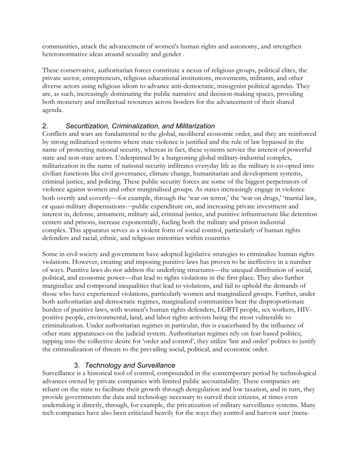communities, attack the advancement of women's human rights and autonomy, and strengthen heteronormative ideas around sexuality and gender .

These conservative, authoritarian forces constitute a nexus of religious groups, political elites, the private sector, entrepreneurs, religious educational institutions, movements, militants, and other diverse actors using religious idiom to advance anti-democratic, misogynist political agendas. They are, as such, increasingly dominating the public narrative and decision-making spaces, providing both monetary and intellectual resources across borders for the advancement of their shared agenda.

### 2. *Securitization, Criminalization, and Militarization*

Conflicts and wars are fundamental to the global, neoliberal economic order, and they are reinforced by strong militarized systems where state violence is justified and the rule of law bypassed in the name of protecting national security, whereas in fact, these systems service the interest of powerful state and non-state actors. Underpinned by a burgeoning global military-industrial complex, militarization in the name of national security infiltrates everyday life as the military is co-opted into civilian functions like civil governance, climate change, humanitarian and development systems, criminal justice, and policing. These public security forces are some of the biggest perpetrators of violence against women and other marginalised groups. As states increasingly engage in violence both overtly and covertly—for example, through the 'war on terror,' the 'war on drugs,' 'martial law, or quasi-military dispensations—public expenditure on, and increasing private investment and interest in, defense, armament, military aid, criminal justice, and punitive infrastructure like detention centers and prisons, increase exponentially, fueling both the military and prison industrial complex. This apparatus serves as a violent form of social control, particularly of human rights defenders and racial, ethnic, and religious minorities within countries

Some in civil society and government have adopted legislative strategies to criminalize human rights violations. However, creating and imposing punitive laws has proven to be ineffective in a number of ways. Punitive laws do not address the underlying structures—the unequal distribution of social, political, and economic power—that lead to rights violations in the first place. They also further marginalize and compound inequalities that lead to violations, and fail to uphold the demands of those who have experienced violations, particularly women and marginalized groups. Further, under both authoritarian and democratic regimes, marginalized communities bear the disproportionate burden of punitive laws, with women's human rights defenders, LGBTI people, sex workers, HIVpositive people, environmental, land, and labor rights activists being the most vulnerable to criminalization. Under authoritarian regimes in particular, this is exacerbated by the influence of other state apparatuses on the judicial system. Authoritarian regimes rely on fear-based politics; tapping into the collective desire for 'order and control', they utilize 'law and order' politics to justify the criminalization of threats to the prevailing social, political, and economic order.

### 3. *Technology and Surveillance*

Surveillance is a historical tool of control, compounded in the contemporary period by technological advances owned by private companies with limited public accountability. These companies are reliant on the state to facilitate their growth through deregulation and low taxation, and in turn, they provide governments the data and technology necessary to surveil their citizens, at times even undertaking it directly, through, for example, the privatization of military surveillance systems. Many tech companies have also been criticized heavily for the ways they control and harvest user (meta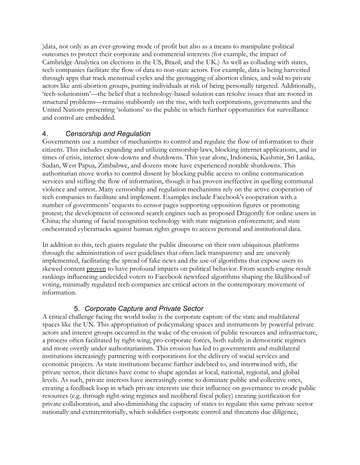)data, not only as an ever-growing mode of profit but also as a means to manipulate political outcomes to protect their corporate and commercial interests (for example, the impact of Cambridge Analytica on elections in the US, Brazil, and the UK.) As well as colluding with states, tech companies facilitate the flow of data to non-state actors. For example, data is being harvested through apps that track menstrual cycles and the geotagging of abortion clinics, and sold to private actors like anti-abortion groups, putting individuals at risk of being personally targeted. Additionally, 'tech-solutionism'—the belief that a technology-based solution can resolve issues that are rooted in structural problems—remains stubbornly on the rise, with tech corporations, governments and the United Nations presenting 'solutions' to the public in which further opportunities for surveillance and control are embedded.

#### 4. *Censorship and Regulation*

Governments use a number of mechanisms to control and regulate the flow of information to their citizens. This includes expanding and utilizing censorship laws, blocking internet applications, and in times of crisis, internet slow-downs and shutdowns. This year alone, Indonesia, Kashmir, Sri Lanka, Sudan, West Papua, Zimbabwe, and dozens more have experienced notable shutdowns. This authoritarian move works to control dissent by blocking public access to online communication services and stifling the flow of information, though it has proven ineffective in quelling communal violence and unrest. Many censorship and regulation mechanisms rely on the active cooperation of tech companies to facilitate and implement. Examples include Facebook's cooperation with a number of governments' requests to censor pages supporting opposition figures or promoting protest; the development of censored search engines such as proposed Dragonfly for online users in China; the sharing of facial recognition technology with state migration enforcement; and state orchestrated cyberattacks against human rights groups to access personal and institutional data.

In addition to this, tech giants regulate the public discourse on their own ubiquitous platforms through the administration of user guidelines that often lack transparency and are unevenly implemented, facilitating the spread of fake news and the use of algorithms that expose users to skewed content [proven](https://datasociety.net/pubs/ap/CaseStudies_PublicSphere_2016.pdf) to have profound impacts on political behavior. From search-engine result rankings influencing undecided voters to Facebook newsfeed algorithms shaping the likelihood of voting, minimally regulated tech companies are critical actors in the contemporary movement of information.

#### 5. *Corporate Capture and Private Sector*

A critical challenge facing the world today is the corporate capture of the state and multilateral spaces like the UN. This appropriation of policymaking spaces and instruments by powerful private actors and interest groups occurred in the wake of the erosion of public resources and infrastructure, a process often facilitated by right-wing, pro-corporate forces, both subtly in democratic regimes and more overtly under authoritarianism. This erosion has led to governments and multilateral institutions increasingly partnering with corporations for the delivery of social services and economic projects. As state institutions became further indebted to, and intertwined with, the private sector, their dictates have come to shape agendas at local, national, regional, and global levels. As such, private interests have increasingly come to dominate public and collective ones, creating a feedback loop in which private interests use their influence on governance to erode public resources (e.g. through right-wing regimes and neoliberal fiscal policy) creating justification for private collaboration, and also diminishing the capacity of states to regulate this same private sector nationally and extraterritorially, which solidifies corporate control and threatens due diligence,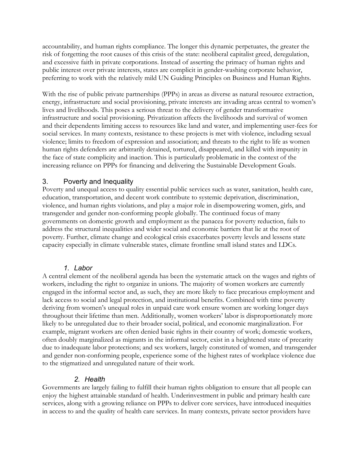accountability, and human rights compliance. The longer this dynamic perpetuates, the greater the risk of forgetting the root causes of this crisis of the state: neoliberal capitalist greed, deregulation, and excessive faith in private corporations. Instead of asserting the primacy of human rights and public interest over private interests, states are complicit in gender-washing corporate behavior, preferring to work with the relatively mild UN Guiding Principles on Business and Human Rights.

With the rise of public private partnerships (PPPs) in areas as diverse as natural resource extraction, energy, infrastructure and social provisioning, private interests are invading areas central to women's lives and livelihoods. This poses a serious threat to the delivery of gender transformative infrastructure and social provisioning. Privatization affects the livelihoods and survival of women and their dependents limiting access to resources like land and water, and implementing user-fees for social services. In many contexts, resistance to these projects is met with violence, including sexual violence; limits to freedom of expression and association; and threats to the right to life as women human rights defenders are arbitrarily detained, tortured, disappeared, and killed with impunity in the face of state complicity and inaction. This is particularly problematic in the context of the increasing reliance on PPPs for financing and delivering the Sustainable Development Goals.

#### 3. Poverty and Inequality

Poverty and unequal access to quality essential public services such as water, sanitation, health care, education, transportation, and decent work contribute to systemic deprivation, discrimination, violence, and human rights violations, and play a major role in disempowering women, girls, and transgender and gender non-conforming people globally. The continued focus of many governments on domestic growth and employment as the panacea for poverty reduction, fails to address the structural inequalities and wider social and economic barriers that lie at the root of poverty. Further, climate change and ecological crisis exacerbates poverty levels and lessens state capacity especially in climate vulnerable states, climate frontline small island states and LDCs.

#### *1. Labor*

A central element of the neoliberal agenda has been the systematic attack on the wages and rights of workers, including the right to organize in unions. The majority of women workers are currently engaged in the informal sector and, as such, they are more likely to face precarious employment and lack access to social and legal protection, and institutional benefits. Combined with time poverty deriving from women's unequal roles in unpaid care work ensure women are working longer days throughout their lifetime than men. Additionally, women workers' labor is disproportionately more likely to be unregulated due to their broader social, political, and economic marginalization. For example, migrant workers are often denied basic rights in their country of work; domestic workers, often doubly marginalized as migrants in the informal sector, exist in a heightened state of precarity due to inadequate labor protections; and sex workers, largely constituted of women, and transgender and gender non-conforming people, experience some of the highest rates of workplace violence due to the stigmatized and unregulated nature of their work.

#### *2. Health*

Governments are largely failing to fulfill their human rights obligation to ensure that all people can enjoy the highest attainable standard of health. Underinvestment in public and primary health care services, along with a growing reliance on PPPs to deliver core services, have introduced inequities in access to and the quality of health care services. In many contexts, private sector providers have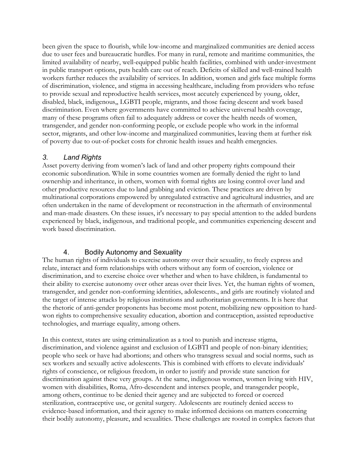been given the space to flourish, while low-income and marginalized communities are denied access due to user fees and bureaucratic hurdles. For many in rural, remote and maritime communities, the limited availability of nearby, well-equipped public health facilities, combined with under-investment in public transport options, puts health care out of reach. Deficits of skilled and well-trained health workers further reduces the availability of services. In addition, women and girls face multiple forms of discrimination, violence, and stigma in accessing healthcare, including from providers who refuse to provide sexual and reproductive health services, most accutely experienced by young, older, disabled, black, indigenous,, LGBTI people, migrants, and those facing descent and work based discrimination. Even where governments have committed to achieve universal health coverage, many of these programs often fail to adequately address or cover the health needs of women, transgender, and gender non-conforming people, or exclude people who work in the informal sector, migrants, and other low-income and marginalized communities, leaving them at further risk of poverty due to out-of-pocket costs for chronic health issues and health emergncies.

### *3. Land Rights*

Asset poverty deriving from women's lack of land and other property rights compound their economic subordination. While in some countries women are formally denied the right to land ownership and inheritance, in others, women with formal rights are losing control over land and other productive resources due to land grabbing and eviction. These practices are driven by multinational corporations empowered by unregulated extractive and agricultural industries, and are often undertaken in the name of development or reconstruction in the aftermath of environmental and man-made disasters. On these issues, it's necessary to pay special attention to the added burdens experienced by black, indigenous, and traditional people, and communities experiencing descent and work based discrimination.

### 4. Bodily Autonomy and Sexuality

The human rights of individuals to exercise autonomy over their sexuality, to freely express and relate, interact and form relationships with others without any form of coercion, violence or discrimination, and to exercise choice over whether and when to have children, is fundamental to their ability to exercise autonomy over other areas over their lives. Yet, the human rights of women, transgender, and gender non-conforming identities, adolescents., and girls are routinely violated and the target of intense attacks by religious institutions and authoritarian governments. It is here that the rhetoric of anti-gender proponents has become most potent, mobilizing new opposition to hardwon rights to comprehensive sexuality education, abortion and contraception, assisted reproductive technologies, and marriage equality, among others.

In this context, states are using criminalization as a tool to punish and increase stigma, discrimination, and violence against and exclusion of LGBTI and people of non-binary identities; people who seek or have had abortions; and others who transgress sexual and social norms, such as sex workers and sexually active adolescents. This is combined with efforts to elevate individuals' rights of conscience, or religious freedom, in order to justify and provide state sanction for discrimination against these very groups. At the same, indigenous women, women living with HIV, women with disabilities, Roma, Afro-descendent and intersex people, and transgender people, among others, continue to be denied their agency and are subjected to forced or coerced sterilization, contraceptive use, or genital surgery. Adolescents are routinely denied access to evidence-based information, and their agency to make informed decisions on matters concerning their bodily autonomy, pleasure, and sexualities. These challenges are rooted in complex factors that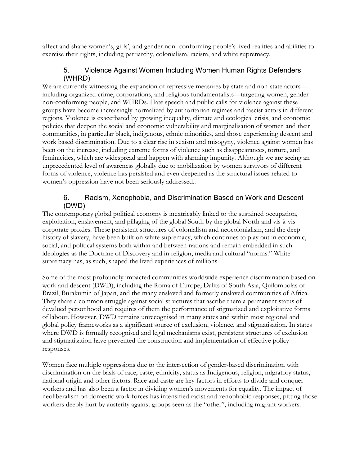affect and shape women's, girls', and gender non- conforming people's lived realities and abilities to exercise their rights, including patriarchy, colonialism, racism, and white supremacy.

### 5. Violence Against Women Including Women Human Rights Defenders (WHRD)

We are currently witnessing the expansion of repressive measures by state and non-state actors including organized crime, corporations, and religious fundamentalists—targeting women, gender non-conforming people, and WHRDs. Hate speech and public calls for violence against these groups have become increasingly normalized by authoritarian regimes and fascist actors in different regions. Violence is exacerbated by growing inequality, climate and ecological crisis, and economic policies that deepen the social and economic vulnerability and marginalisation of women and their communities, in particular black, indigenous, ethnic minorities, and those experiencing descent and work based discrimination. Due to a clear rise in sexism and misogyny, violence against women has been on the increase, including extreme forms of violence such as disappearances, torture, and feminicides, which are widespread and happen with alarming impunity. Although we are seeing an unprecedented level of awareness globally due to mobilization by women survivors of different forms of violence, violence has persisted and even deepened as the structural issues related to women's oppression have not been seriously addressed..

### 6. Racism, Xenophobia, and Discrimination Based on Work and Descent (DWD)

The contemporary global political economy is inextricably linked to the sustained occupation, exploitation, enslavement, and pillaging of the global South by the global North and vis-à-vis corporate proxies. These persistent structures of colonialism and neocolonialism, and the deep history of slavery, have been built on white supremacy, which continues to play out in economic, social, and political systems both within and between nations and remain embedded in such ideologies as the Doctrine of Discovery and in religion, media and cultural "norms." White supremacy has, as such, shaped the lived experiences of millions

Some of the most profoundly impacted communities worldwide experience discrimination based on work and descent (DWD), including the Roma of Europe, Dalits of South Asia, Quilombolas of Brazil, Burakumin of Japan, and the many enslaved and formerly enslaved communities of Africa. They share a common struggle against social structures that ascribe them a permanent status of devalued personhood and requires of them the performance of stigmatized and exploitative forms of labour. However, DWD remains unrecognised in many states and within most regional and global policy frameworks as a significant source of exclusion, violence, and stigmatisation. In states where DWD is formally recognised and legal mechanisms exist, persistent structures of exclusion and stigmatisation have prevented the construction and implementation of effective policy responses.

Women face multiple oppressions due to the intersection of gender-based discrimination with discrimination on the basis of race, caste, ethnicity, status as Indigenous, religion, migratory status, national origin and other factors. Race and caste are key factors in efforts to divide and conquer workers and has also been a factor in dividing women's movements for equality. The impact of neoliberalism on domestic work forces has intensified racist and xenophobic responses, pitting those workers deeply hurt by austerity against groups seen as the "other", including migrant workers.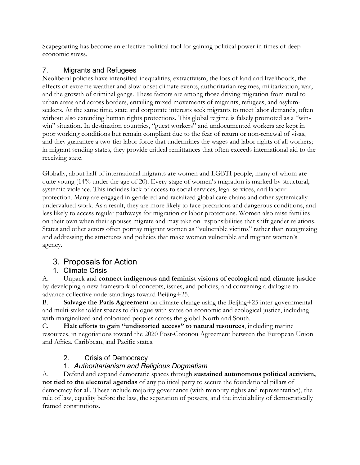Scapegoating has become an effective political tool for gaining political power in times of deep economic stress.

### 7. Migrants and Refugees

Neoliberal policies have intensified inequalities, extractivism, the loss of land and livelihoods, the effects of extreme weather and slow onset climate events, authoritarian regimes, militarization, war, and the growth of criminal gangs. These factors are among those driving migration from rural to urban areas and across borders, entailing mixed movements of migrants, refugees, and asylumseekers. At the same time, state and corporate interests seek migrants to meet labor demands, often without also extending human rights protections. This global regime is falsely promoted as a "winwin" situation. In destination countries, "guest workers" and undocumented workers are kept in poor working conditions but remain compliant due to the fear of return or non-renewal of visas, and they guarantee a two-tier labor force that undermines the wages and labor rights of all workers; in migrant sending states, they provide critical remittances that often exceeds international aid to the receiving state.

Globally, about half of international migrants are women and LGBTI people, many of whom are quite young (14% under the age of 20). Every stage of women's migration is marked by structural, systemic violence. This includes lack of access to social services, legal services, and labour protection. Many are engaged in gendered and racialized global care chains and other systemically undervalued work. As a result, they are more likely to face precarious and dangerous conditions, and less likely to access regular pathways for migration or labor protections. Women also raise families on their own when their spouses migrate and may take on responsibilities that shift gender relations. States and other actors often portray migrant women as "vulnerable victims" rather than recognizing and addressing the structures and policies that make women vulnerable and migrant women's agency.

# 3. Proposals for Action

### 1. Climate Crisis

A. Unpack and **connect indigenous and feminist visions of ecological and climate justice** by developing a new framework of concepts, issues, and policies, and convening a dialogue to advance collective understandings toward Beijing+25.

B. **Salvage the Paris Agreement** on climate change using the Beijing+25 inter-governmental and multi-stakeholder spaces to dialogue with states on economic and ecological justice, including with marginalized and colonized peoples across the global North and South.

C. **Halt efforts to gain "undistorted access" to natural resources**, including marine resources, in negotiations toward the 2020 Post-Cotonou Agreement between the European Union and Africa, Caribbean, and Pacific states.

# 2. Crisis of Democracy

### 1. *Authoritarianism and Religious Dogmatism*

A. Defend and expand democratic spaces through **sustained autonomous political activism, not tied to the electoral agendas** of any political party to secure the foundational pillars of democracy for all. These include majority governance (with minority rights and representation), the rule of law, equality before the law, the separation of powers, and the inviolability of democratically framed constitutions.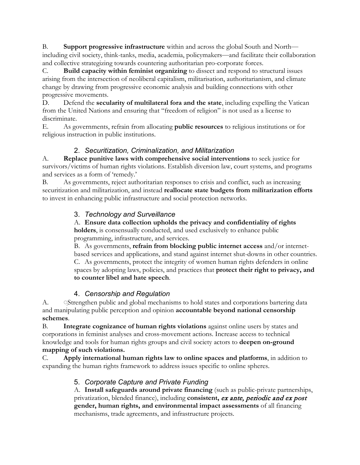B. **Support progressive infrastructure** within and across the global South and North including civil society, think-tanks, media, academia, policymakers—and facilitate their collaboration and collective strategizing towards countering authoritarian pro-corporate forces.

C. **Build capacity within feminist organizing** to dissect and respond to structural issues arising from the intersection of neoliberal capitalism, militarisation, authoritarianism, and climate change by drawing from progressive economic analysis and building connections with other progressive movements.

D. Defend the **secularity of multilateral fora and the state**, including expelling the Vatican from the United Nations and ensuring that "freedom of religion" is not used as a license to discriminate.

E. As governments, refrain from allocating **public resources** to religious institutions or for religious instruction in public institutions.

### 2. *Securitization, Criminalization, and Militarization*

A. **Replace punitive laws with comprehensive social interventions** to seek justice for survivors/victims of human rights violations. Establish diversion law, court systems, and programs and services as a form of 'remedy.'

B. As governments, reject authoritarian responses to crisis and conflict, such as increasing securitization and militarization, and instead **reallocate state budgets from militarization efforts**  to invest in enhancing public infrastructure and social protection networks.

### 3. *Technology and Surveillance*

A. **Ensure data collection upholds the privacy and confidentiality of rights holders**, is consensually conducted, and used exclusively to enhance public programming, infrastructure, and services.

B. As governments, **refrain from blocking public internet access** and/or internetbased services and applications, and stand against internet shut-downs in other countries. C. As governments, protect the integrity of women human rights defenders in online spaces by adopting laws, policies, and practices that **protect their right to privacy, and to counter libel and hate speech**.

### 4. *Censorship and Regulation*

A. Strengthen public and global mechanisms to hold states and corporations bartering data and manipulating public perception and opinion **accountable beyond national censorship schemes**.

B. **Integrate cognizance of human rights violations** against online users by states and corporations in feminist analyses and cross-movement actions. Increase access to technical knowledge and tools for human rights groups and civil society actors to **deepen on-ground mapping of such violations.**

C. **Apply international human rights law to online spaces and platforms**, in addition to expanding the human rights framework to address issues specific to online spheres.

# 5. *Corporate Capture and Private Funding*

A. **Install safeguards around private financing** (such as public-private partnerships, privatization, blended finance), including **consistent,** ex ante, periodic and ex post **gender, human rights, and environmental impact assessments** of all financing mechanisms, trade agreements, and infrastructure projects.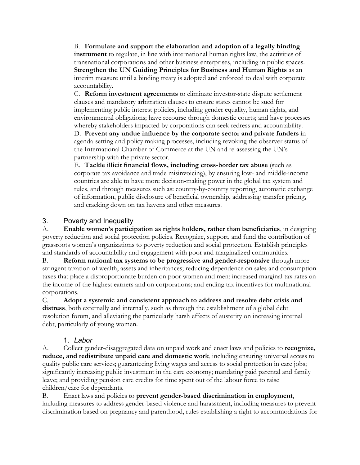B. **Formulate and support the elaboration and adoption of a legally binding instrument** to regulate, in line with international human rights law, the activities of transnational corporations and other business enterprises, including in public spaces. **Strengthen the UN Guiding Principles for Business and Human Rights** as an interim measure until a binding treaty is adopted and enforced to deal with corporate accountability.

C. **Reform investment agreements** to eliminate investor-state dispute settlement clauses and mandatory arbitration clauses to ensure states cannot be sued for implementing public interest policies, including gender equality, human rights, and environmental obligations; have recourse through domestic courts; and have processes whereby stakeholders impacted by corporations can seek redress and accountability.

D. **Prevent any undue influence by the corporate sector and private funders** in agenda-setting and policy making processes, including revoking the observer status of the International Chamber of Commerce at the UN and re-assessing the UN's partnership with the private sector.

E. **Tackle illicit financial flows, including cross-border tax abuse** (such as corporate tax avoidance and trade misinvoicing), by ensuring low- and middle-income countries are able to have more decision-making power in the global tax system and rules, and through measures such as: country-by-country reporting, automatic exchange of information, public disclosure of beneficial ownership, addressing transfer pricing, and cracking down on tax havens and other measures.

#### 3. Poverty and Inequality

A. **Enable women's participation as rights holders, rather than beneficiaries**, in designing poverty reduction and social protection policies. Recognize, support, and fund the contribution of grassroots women's organizations to poverty reduction and social protection. Establish principles and standards of accountability and engagement with poor and marginalized communities.

B. **Reform national tax systems to be progressive and gender-responsive** through more stringent taxation of wealth, assets and inheritances; reducing dependence on sales and consumption taxes that place a disproportionate burden on poor women and men; increased marginal tax rates on the income of the highest earners and on corporations; and ending tax incentives for multinational corporations.

C. **Adopt a systemic and consistent approach to address and resolve debt crisis and distress**, both externally and internally, such as through the establishment of a global debt resolution forum, and alleviating the particularly harsh effects of austerity on increasing internal debt, particularly of young women.

### 1. *Labor*

A. Collect gender-disaggregated data on unpaid work and enact laws and policies to **recognize, reduce, and redistribute unpaid care and domestic work**, including ensuring universal access to quality public care services; guaranteeing living wages and access to social protection in care jobs; significantly increasing public investment in the care economy; mandating paid parental and family leave; and providing pension care credits for time spent out of the labour force to raise children/care for dependants.

B. Enact laws and policies to **prevent gender-based discrimination in employment**, including measures to address gender-based violence and harassment, including measures to prevent discrimination based on pregnancy and parenthood, rules establishing a right to accommodations for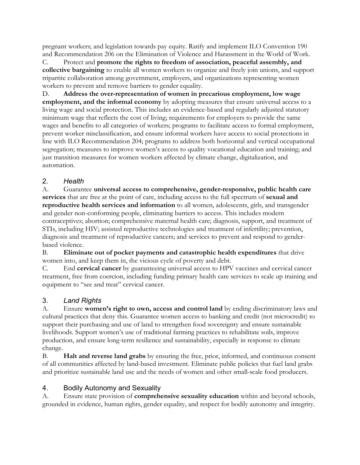pregnant workers; and legislation towards pay equity. Ratify and implement ILO Convention 190 and Recommendation 206 on the Elimination of Violence and Harassment in the World of Work.

C. Protect and **promote the rights to freedom of association, peaceful assembly, and collective bargaining** to enable all women workers to organize and freely join unions, and support tripartite collaboration among government, employers, and organizations representing women workers to prevent and remove barriers to gender equality.

D. **Address the over-representation of women in precarious employment, low wage employment, and the informal economy** by adopting measures that ensure universal access to a living wage and social protection. This includes an evidence-based and regularly adjusted statutory minimum wage that reflects the cost of living; requirements for employers to provide the same wages and benefits to all categories of workers; programs to facilitate access to formal employment, prevent worker misclassification, and ensure informal workers have access to social protections in line with ILO Recommendation 204; programs to address both horizontal and vertical occupational segregation; measures to improve women's access to quality vocational education and training; and just transition measures for women workers affected by climate change, digitalization, and automation.

### 2. *Health*

A. Guarantee **universal access to comprehensive, gender-responsive, public health care services** that are free at the point of care, including access to the full spectrum of **sexual and reproductive health services and information** to all women, adolescents, girls, and transgender and gender non-conforming people, eliminating barriers to access. This includes modern contraceptives; abortion; comprehensive maternal health care; diagnosis, support, and treatment of STIs, including HIV; assisted reproductive technologies and treatment of infertility; prevention, diagnosis and treatment of reproductive cancers; and services to prevent and respond to genderbased violence.

B. **Eliminate out of pocket payments and catastrophic health expenditures** that drive women into, and keep them in, the vicious cycle of poverty and debt.

C. End **cervical cancer** by guaranteeing universal access to HPV vaccines and cervical cancer treatment, free from coercion, including funding primary health care services to scale up training and equipment to "see and treat" cervical cancer.

### 3. *Land Rights*

A. Ensure **women's right to own, access and control land** by ending discriminatory laws and cultural practices that deny this. Guarantee women access to banking and credit (not microcredit) to support their purchasing and use of land to strengthen food sovereignty and ensure sustainable livelihoods. Support women's use of traditional farming practices to rehabilitate soils, improve production, and ensure long-term resilience and sustainability, especially in response to climate change.

B. **Halt and reverse land grabs** by ensuring the free, prior, informed, and continuous consent of all communities affected by land-based investment. Eliminate public policies that fuel land grabs and prioritize sustainable land use and the needs of women and other small-scale food producers.

### 4. Bodily Autonomy and Sexuality

A. Ensure state provision of **comprehensive sexuality education** within and beyond schools, grounded in evidence, human rights, gender equality, and respect for bodily autonomy and integrity.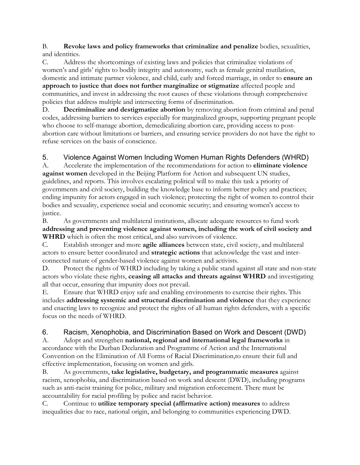B. **Revoke laws and policy frameworks that criminalize and penalize** bodies, sexualities, and identities.

C. Address the shortcomings of existing laws and policies that criminalize violations of women's and girls' rights to bodily integrity and autonomy, such as female genital mutilation, domestic and intimate partner violence, and child, early and forced marriage, in order to **ensure an approach to justice that does not further marginalize or stigmatize** affected people and communities, and invest in addressing the root causes of these violations through comprehensive policies that address multiple and intersecting forms of discrimination.

D. **Decriminalize and destigmatize abortion** by removing abortion from criminal and penal codes, addressing barriers to services especially for marginalized groups, supporting pregnant people who choose to self-manage abortion, demedicalizing abortion care, providing access to postabortion care without limitations or barriers, and ensuring service providers do not have the right to refuse services on the basis of conscience.

# 5. Violence Against Women Including Women Human Rights Defenders (WHRD)

A. Accelerate the implementation of the recommendations for action to **eliminate violence against women** developed in the Beijing Platform for Action and subsequent UN studies, guidelines, and reports. This involves escalating political will to make this task a priority of governments and civil society, building the knowledge base to inform better policy and practices; ending impunity for actors engaged in such violence; protecting the right of women to control their bodies and sexuality, experience social and economic security; and ensuring women's access to justice.

B. As governments and multilateral institutions, allocate adequate resources to fund work **addressing and preventing violence against women, including the work of civil society and WHRD** which is often the most critical, and also survivors of violence.

C. Establish stronger and more **agile alliances** between state, civil society, and multilateral actors to ensure better coordinated and **strategic actions** that acknowledge the vast and interconnected nature of gender-based violence against women and activists.

D. Protect the rights of WHRD including by taking a public stand against all state and non-state actors who violate these rights, **ceasing all attacks and threats against WHRD** and investigating all that occur, ensuring that impunity does not prevail.

E. Ensure that WHRD enjoy safe and enabling environments to exercise their rights. This includes **addressing systemic and structural discrimination and violence** that they experience and enacting laws to recognize and protect the rights of all human rights defenders, with a specific focus on the needs of WHRD.

# 6. Racism, Xenophobia, and Discrimination Based on Work and Descent (DWD)

A. Adopt and strengthen **national, regional and international legal frameworks** in accordance with the Durban Declaration and Programme of Action and the International Convention on the Elimination of All Forms of Racial Discrimination,to ensure their full and effective implementation, focusing on women and girls.

B. As governments, **take legislative, budgetary, and programmatic measures** against racism, xenophobia, and discrimination based on work and descent (DWD), including programs such as anti-racist training for police, military and migration enforcement. There must be accountability for racial profiling by police and racist behavior.

C. Continue to **utilize temporary special (affirmative action) measures** to address inequalities due to race, national origin, and belonging to communities experiencing DWD.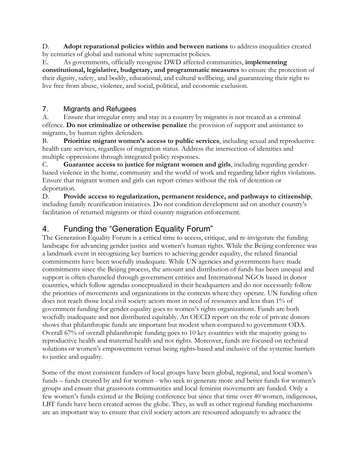D. **Adopt reparational policies within and between nations** to address inequalities created by centuries of global and national white supremacist policies.

E. As governments, officially recognise DWD affected communities, **implementing constitutional, legislative, budgetary, and programmatic measures** to ensure the protection of their dignity, safety, and bodily, educational, and cultural wellbeing, and guaranteeing their right to live free from abuse, violence, and social, political, and economic exclusion.

### 7. Migrants and Refugees

A. Ensure that irregular entry and stay in a country by migrants is not treated as a criminal offence. **Do not criminalize or otherwise penalize** the provision of support and assistance to migrants, by human rights defenders.

B. **Prioritize migrant women's access to public services**, including sexual and reproductive health care services, regardless of migration status. Address the intersection of identities and multiple oppressions through integrated policy responses.

C. **Guarantee access to justice for migrant women and girls**, including regarding genderbased violence in the home, community and the world of work and regarding labor rights violations. Ensure that migrant women and girls can report crimes without the risk of detention or deportation.

D. **Provide access to regularization, permanent residence, and pathways to citizenship**, including family reunification initiatives. Do not condition development aid on another country's facilitation of returned migrants or third country migration enforcement.

# 4. Funding the "Generation Equality Forum"

The Generation Equality Forum is a critical time to access, critique, and re-invigorate the funding landscape for advancing gender justice and women's human rights. While the Beijing conference was a landmark event in recognizing key barriers to achieving gender equality, the related financial commitments have been woefully inadequate. While UN agencies and governments have made commitments since the Beijing process, the amount and distribution of funds has been unequal and support is often channeled through government entities and International NGOs based in donor countries, which follow agendas conceptualized in their headquarters and do not necessarily follow the priorities of movements and organizations in the contexts where they operate. UN funding often does not reach those local civil society actors most in need of resources and less than 1% of government funding for gender equality goes to women's rights organizations. Funds are both woefully inadequate and not distributed equitably. An OECD report on the role of private donors shows that philanthropic funds are important but modest when compared to government ODA. Overall 67% of overall philanthropic funding goes to 10 key countries with the majority going to reproductive health and maternal health and not rights. Moreover, funds are focused on technical solutions or women's empowerment versus being rights-based and inclusive of the systemic barriers to justice and equality.

Some of the most consistent funders of local groups have been global, regional, and local women's funds – funds created by and for women - who seek to generate more and better funds for women's groups and ensure that grassroots communities and local feminist movements are funded. Only a few women's funds existed at the Beijing conference but since that time over 40 women, indigenous, LBT funds have been created across the globe. They, as well as other regional funding mechanisms are an important way to ensure that civil society actors are resourced adequately to advance the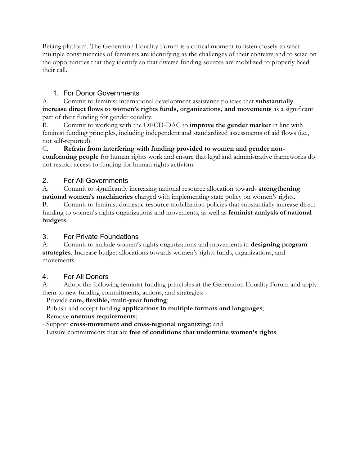Beijing platform. The Generation Equality Forum is a critical moment to listen closely to what multiple constituencies of feminists are identifying as the challenges of their contexts and to seize on the opportunities that they identify so that diverse funding sources are mobilized to properly heed their call.

### 1. For Donor Governments

A. Commit to feminist international development assistance policies that **substantially increase direct flows to women's rights funds, organizations, and movements** as a significant part of their funding for gender equality.

B. Commit to working with the OECD-DAC to **improve the gender marker** in line with feminist funding principles, including independent and standardized assessments of aid flows (i.e., not self-reported).

C. **Refrain from interfering with funding provided to women and gender nonconforming people** for human rights work and ensure that legal and administrative frameworks do not restrict access to funding for human rights activism.

### 2. For All Governments

A. Commit to significantly increasing national resource allocation towards **strengthening national women's machineries** charged with implementing state policy on women's rights.

B. Commit to feminist domestic resource mobilization policies that substantially increase direct funding to women's rights organizations and movements, as well as **feminist analysis of national budgets**.

## 3. For Private Foundations

A. Commit to include women's rights organizations and movements in **designing program strategies**. Increase budget allocations towards women's rights funds, organizations, and movements.

# 4. For All Donors

A. Adopt the following feminist funding principles at the Generation Equality Forum and apply them to new funding commitments, actions, and strategies:

- Provide **core, flexible, multi-year funding**;

- Publish and accept funding **applications in multiple formats and languages**;

- Remove **onerous requirements**;

- Support **cross-movement and cross-regional organizing**; and

- Ensure commitments that are **free of conditions that undermine women's rights**.